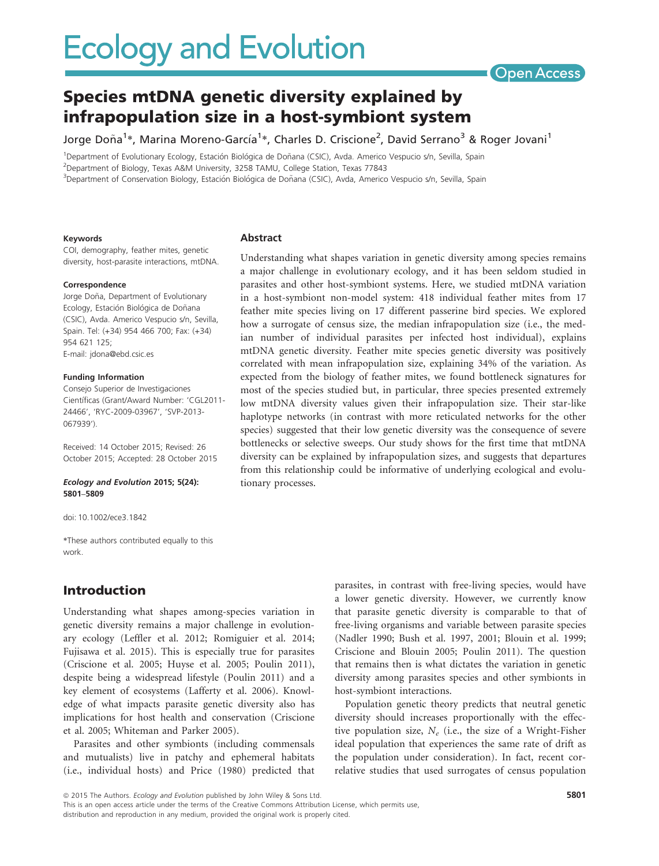

# Species mtDNA genetic diversity explained by infrapopulation size in a host-symbiont system

Jorge Doña<sup>1</sup>\*, Marina Moreno-García<sup>1</sup>\*, Charles D. Criscione<sup>2</sup>, David Serrano<sup>3</sup> & Roger Jovani<sup>1</sup>

<sup>1</sup>Department of Evolutionary Ecology, Estación Biológica de Doñana (CSIC), Avda. Americo Vespucio s/n, Sevilla, Spain 2 Department of Biology, Texas A&M University, 3258 TAMU, College Station, Texas 77843

<sup>3</sup>Department of Conservation Biology, Estación Biológica de Doñana (CSIC), Avda, Americo Vespucio s/n, Sevilla, Spain

#### Keywords

COI, demography, feather mites, genetic diversity, host-parasite interactions, mtDNA.

#### Correspondence

Jorge Doña, Department of Evolutionary Ecology, Estación Biológica de Doñana (CSIC), Avda. Americo Vespucio s/n, Sevilla, Spain. Tel: (+34) 954 466 700; Fax: (+34) 954 621 125; E-mail: jdona@ebd.csic.es

#### Funding Information

Consejo Superior de Investigaciones Científicas (Grant/Award Number: 'CGL2011-24466', 'RYC-2009-03967', 'SVP-2013- 067939').

Received: 14 October 2015; Revised: 26 October 2015; Accepted: 28 October 2015

#### Ecology and Evolution 2015; 5(24): 5801–5809

doi: 10.1002/ece3.1842

\*These authors contributed equally to this work.

## Introduction

Understanding what shapes among-species variation in genetic diversity remains a major challenge in evolutionary ecology (Leffler et al. 2012; Romiguier et al. 2014; Fujisawa et al. 2015). This is especially true for parasites (Criscione et al. 2005; Huyse et al. 2005; Poulin 2011), despite being a widespread lifestyle (Poulin 2011) and a key element of ecosystems (Lafferty et al. 2006). Knowledge of what impacts parasite genetic diversity also has implications for host health and conservation (Criscione et al. 2005; Whiteman and Parker 2005).

Parasites and other symbionts (including commensals and mutualists) live in patchy and ephemeral habitats (i.e., individual hosts) and Price (1980) predicted that

#### Abstract

Understanding what shapes variation in genetic diversity among species remains a major challenge in evolutionary ecology, and it has been seldom studied in parasites and other host-symbiont systems. Here, we studied mtDNA variation in a host-symbiont non-model system: 418 individual feather mites from 17 feather mite species living on 17 different passerine bird species. We explored how a surrogate of census size, the median infrapopulation size (i.e., the median number of individual parasites per infected host individual), explains mtDNA genetic diversity. Feather mite species genetic diversity was positively correlated with mean infrapopulation size, explaining 34% of the variation. As expected from the biology of feather mites, we found bottleneck signatures for most of the species studied but, in particular, three species presented extremely low mtDNA diversity values given their infrapopulation size. Their star-like haplotype networks (in contrast with more reticulated networks for the other species) suggested that their low genetic diversity was the consequence of severe bottlenecks or selective sweeps. Our study shows for the first time that mtDNA diversity can be explained by infrapopulation sizes, and suggests that departures from this relationship could be informative of underlying ecological and evolutionary processes.

> parasites, in contrast with free-living species, would have a lower genetic diversity. However, we currently know that parasite genetic diversity is comparable to that of free-living organisms and variable between parasite species (Nadler 1990; Bush et al. 1997, 2001; Blouin et al. 1999; Criscione and Blouin 2005; Poulin 2011). The question that remains then is what dictates the variation in genetic diversity among parasites species and other symbionts in host-symbiont interactions.

> Population genetic theory predicts that neutral genetic diversity should increases proportionally with the effective population size,  $N_e$  (i.e., the size of a Wright-Fisher ideal population that experiences the same rate of drift as the population under consideration). In fact, recent correlative studies that used surrogates of census population

ª 2015 The Authors. Ecology and Evolution published by John Wiley & Sons Ltd. This is an open access article under the terms of the Creative Commons Attribution License, which permits use, distribution and reproduction in any medium, provided the original work is properly cited.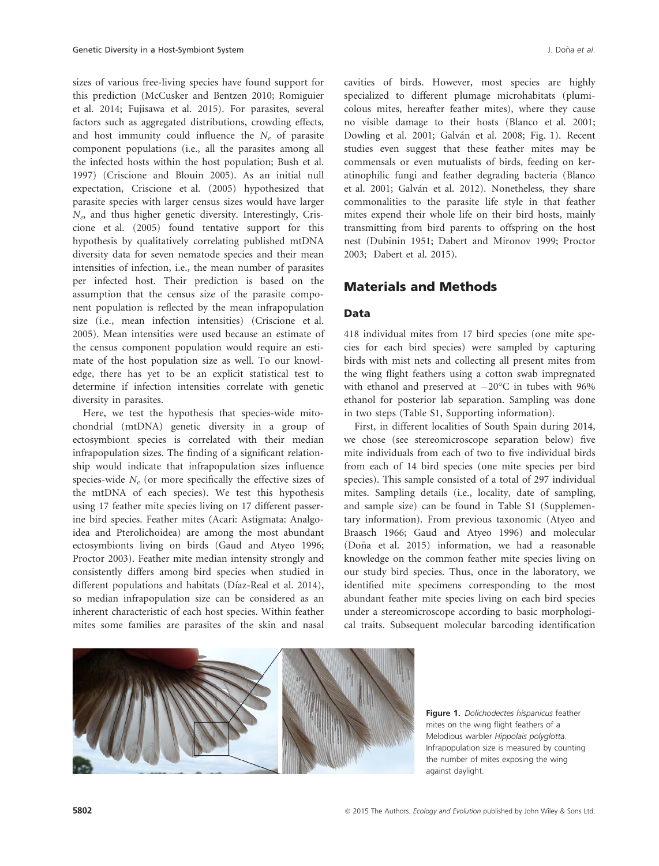sizes of various free-living species have found support for this prediction (McCusker and Bentzen 2010; Romiguier et al. 2014; Fujisawa et al. 2015). For parasites, several factors such as aggregated distributions, crowding effects, and host immunity could influence the  $N_e$  of parasite component populations (i.e., all the parasites among all the infected hosts within the host population; Bush et al. 1997) (Criscione and Blouin 2005). As an initial null expectation, Criscione et al. (2005) hypothesized that parasite species with larger census sizes would have larger  $N_e$ , and thus higher genetic diversity. Interestingly, Criscione et al. (2005) found tentative support for this hypothesis by qualitatively correlating published mtDNA diversity data for seven nematode species and their mean intensities of infection, i.e., the mean number of parasites per infected host. Their prediction is based on the assumption that the census size of the parasite component population is reflected by the mean infrapopulation size (i.e., mean infection intensities) (Criscione et al. 2005). Mean intensities were used because an estimate of the census component population would require an estimate of the host population size as well. To our knowledge, there has yet to be an explicit statistical test to determine if infection intensities correlate with genetic diversity in parasites.

Here, we test the hypothesis that species-wide mitochondrial (mtDNA) genetic diversity in a group of ectosymbiont species is correlated with their median infrapopulation sizes. The finding of a significant relationship would indicate that infrapopulation sizes influence species-wide  $N_e$  (or more specifically the effective sizes of the mtDNA of each species). We test this hypothesis using 17 feather mite species living on 17 different passerine bird species. Feather mites (Acari: Astigmata: Analgoidea and Pterolichoidea) are among the most abundant ectosymbionts living on birds (Gaud and Atyeo 1996; Proctor 2003). Feather mite median intensity strongly and consistently differs among bird species when studied in different populations and habitats (Díaz-Real et al. 2014), so median infrapopulation size can be considered as an inherent characteristic of each host species. Within feather mites some families are parasites of the skin and nasal cavities of birds. However, most species are highly specialized to different plumage microhabitats (plumicolous mites, hereafter feather mites), where they cause no visible damage to their hosts (Blanco et al. 2001; Dowling et al. 2001; Galván et al. 2008; Fig. 1). Recent studies even suggest that these feather mites may be commensals or even mutualists of birds, feeding on keratinophilic fungi and feather degrading bacteria (Blanco et al. 2001; Galván et al. 2012). Nonetheless, they share commonalities to the parasite life style in that feather mites expend their whole life on their bird hosts, mainly transmitting from bird parents to offspring on the host nest (Dubinin 1951; Dabert and Mironov 1999; Proctor 2003; Dabert et al. 2015).

## Materials and Methods

## Data

418 individual mites from 17 bird species (one mite species for each bird species) were sampled by capturing birds with mist nets and collecting all present mites from the wing flight feathers using a cotton swab impregnated with ethanol and preserved at  $-20^{\circ}$ C in tubes with 96% ethanol for posterior lab separation. Sampling was done in two steps (Table S1, Supporting information).

First, in different localities of South Spain during 2014, we chose (see stereomicroscope separation below) five mite individuals from each of two to five individual birds from each of 14 bird species (one mite species per bird species). This sample consisted of a total of 297 individual mites. Sampling details (i.e., locality, date of sampling, and sample size) can be found in Table S1 (Supplementary information). From previous taxonomic (Atyeo and Braasch 1966; Gaud and Atyeo 1996) and molecular (Doña et al. 2015) information, we had a reasonable knowledge on the common feather mite species living on our study bird species. Thus, once in the laboratory, we identified mite specimens corresponding to the most abundant feather mite species living on each bird species under a stereomicroscope according to basic morphological traits. Subsequent molecular barcoding identification



Figure 1. Dolichodectes hispanicus feather mites on the wing flight feathers of a Melodious warbler Hippolais polyglotta. Infrapopulation size is measured by counting the number of mites exposing the wing against daylight.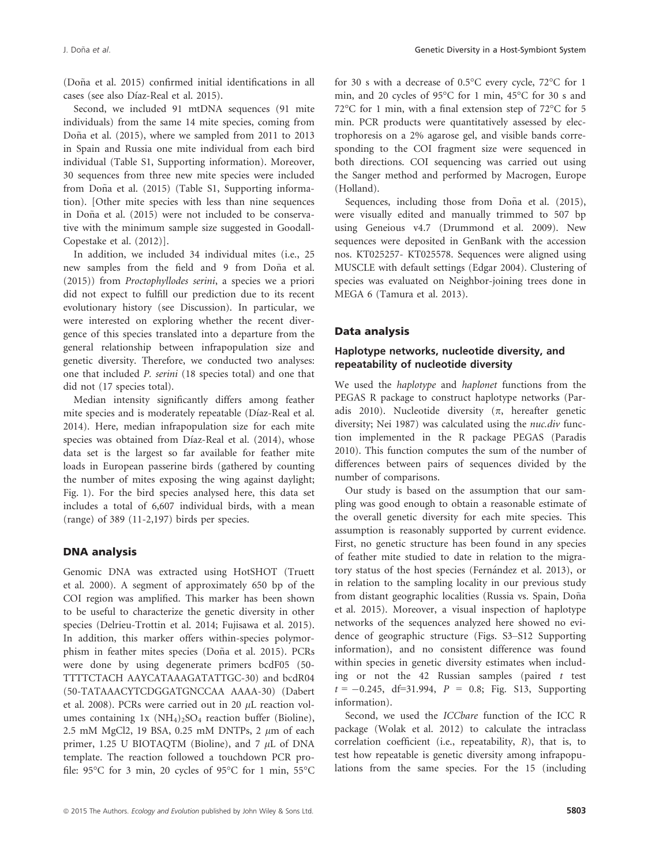(Doña et al. 2015) confirmed initial identifications in all cases (see also Díaz-Real et al. 2015).

Second, we included 91 mtDNA sequences (91 mite individuals) from the same 14 mite species, coming from Doña et al.  $(2015)$ , where we sampled from 2011 to 2013 in Spain and Russia one mite individual from each bird individual (Table S1, Supporting information). Moreover, 30 sequences from three new mite species were included from Doña et al. (2015) (Table S1, Supporting information). [Other mite species with less than nine sequences in Doña et al. (2015) were not included to be conservative with the minimum sample size suggested in Goodall-Copestake et al. (2012)].

In addition, we included 34 individual mites (i.e., 25 new samples from the field and 9 from Doña et al. (2015)) from Proctophyllodes serini, a species we a priori did not expect to fulfill our prediction due to its recent evolutionary history (see Discussion). In particular, we were interested on exploring whether the recent divergence of this species translated into a departure from the general relationship between infrapopulation size and genetic diversity. Therefore, we conducted two analyses: one that included P. serini (18 species total) and one that did not (17 species total).

Median intensity significantly differs among feather mite species and is moderately repeatable (Díaz-Real et al. 2014). Here, median infrapopulation size for each mite species was obtained from Díaz-Real et al. (2014), whose data set is the largest so far available for feather mite loads in European passerine birds (gathered by counting the number of mites exposing the wing against daylight; Fig. 1). For the bird species analysed here, this data set includes a total of 6,607 individual birds, with a mean (range) of 389 (11-2,197) birds per species.

### DNA analysis

Genomic DNA was extracted using HotSHOT (Truett et al. 2000). A segment of approximately 650 bp of the COI region was amplified. This marker has been shown to be useful to characterize the genetic diversity in other species (Delrieu-Trottin et al. 2014; Fujisawa et al. 2015). In addition, this marker offers within-species polymorphism in feather mites species (Doña et al. 2015). PCRs were done by using degenerate primers bcdF05 (50- TTTTCTACH AAYCATAAAGATATTGC-30) and bcdR04 (50-TATAAACYTCDGGATGNCCAA AAAA-30) (Dabert et al. 2008). PCRs were carried out in 20  $\mu$ L reaction volumes containing 1x  $(NH_4)_2SO_4$  reaction buffer (Bioline), 2.5 mM MgCl2, 19 BSA, 0.25 mM DNTPs, 2  $\mu$ m of each primer, 1.25 U BIOTAQTM (Bioline), and 7  $\mu$ L of DNA template. The reaction followed a touchdown PCR profile: 95°C for 3 min, 20 cycles of 95°C for 1 min, 55°C for 30 s with a decrease of 0.5°C every cycle, 72°C for 1 min, and 20 cycles of 95°C for 1 min, 45°C for 30 s and 72°C for 1 min, with a final extension step of 72°C for 5 min. PCR products were quantitatively assessed by electrophoresis on a 2% agarose gel, and visible bands corresponding to the COI fragment size were sequenced in both directions. COI sequencing was carried out using the Sanger method and performed by Macrogen, Europe (Holland).

Sequences, including those from Doña et al. (2015), were visually edited and manually trimmed to 507 bp using Geneious v4.7 (Drummond et al. 2009). New sequences were deposited in GenBank with the accession nos. [KT025257](http://www.ncbi.nlm.nih.gov/nuccore/KT025257)- [KT025578.](http://www.ncbi.nlm.nih.gov/nuccore/KT025578) Sequences were aligned using MUSCLE with default settings (Edgar 2004). Clustering of species was evaluated on Neighbor-joining trees done in MEGA 6 (Tamura et al. 2013).

## Data analysis

## Haplotype networks, nucleotide diversity, and repeatability of nucleotide diversity

We used the haplotype and haplonet functions from the PEGAS R package to construct haplotype networks (Paradis 2010). Nucleotide diversity  $(\pi, \text{ hereafter genetic})$ diversity; Nei 1987) was calculated using the *nuc.div* function implemented in the R package PEGAS (Paradis 2010). This function computes the sum of the number of differences between pairs of sequences divided by the number of comparisons.

Our study is based on the assumption that our sampling was good enough to obtain a reasonable estimate of the overall genetic diversity for each mite species. This assumption is reasonably supported by current evidence. First, no genetic structure has been found in any species of feather mite studied to date in relation to the migratory status of the host species (Fernández et al. 2013), or in relation to the sampling locality in our previous study from distant geographic localities (Russia vs. Spain, Doña et al. 2015). Moreover, a visual inspection of haplotype networks of the sequences analyzed here showed no evidence of geographic structure (Figs. S3–S12 Supporting information), and no consistent difference was found within species in genetic diversity estimates when including or not the 42 Russian samples (paired t test  $t = -0.245$ , df=31.994,  $P = 0.8$ ; Fig. S13, Supporting information).

Second, we used the ICCbare function of the ICC R package (Wolak et al. 2012) to calculate the intraclass correlation coefficient (i.e., repeatability, R), that is, to test how repeatable is genetic diversity among infrapopulations from the same species. For the 15 (including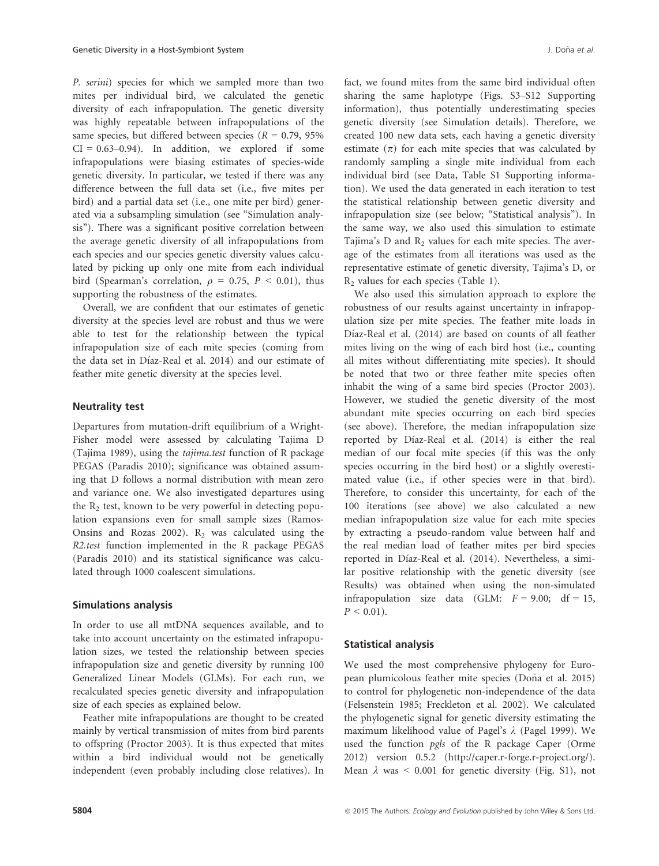P. serini) species for which we sampled more than two mites per individual bird, we calculated the genetic diversity of each infrapopulation. The genetic diversity was highly repeatable between infrapopulations of the same species, but differed between species ( $R = 0.79, 95\%$ )  $CI = 0.63-0.94$ . In addition, we explored if some infrapopulations were biasing estimates of species-wide genetic diversity. In particular, we tested if there was any difference between the full data set (i.e., five mites per bird) and a partial data set (i.e., one mite per bird) generated via a subsampling simulation (see "Simulation analysis"). There was a significant positive correlation between the average genetic diversity of all infrapopulations from each species and our species genetic diversity values calculated by picking up only one mite from each individual bird (Spearman's correlation,  $\rho = 0.75$ ,  $P < 0.01$ ), thus supporting the robustness of the estimates.

Overall, we are confident that our estimates of genetic diversity at the species level are robust and thus we were able to test for the relationship between the typical infrapopulation size of each mite species (coming from the data set in Díaz-Real et al. 2014) and our estimate of feather mite genetic diversity at the species level.

### Neutrality test

Departures from mutation-drift equilibrium of a Wright-Fisher model were assessed by calculating Tajima D (Tajima 1989), using the tajima.test function of R package PEGAS (Paradis 2010); significance was obtained assuming that D follows a normal distribution with mean zero and variance one. We also investigated departures using the  $R_2$  test, known to be very powerful in detecting population expansions even for small sample sizes (Ramos-Onsins and Rozas 2002).  $R_2$  was calculated using the R2.test function implemented in the R package PEGAS (Paradis 2010) and its statistical significance was calculated through 1000 coalescent simulations.

#### Simulations analysis

In order to use all mtDNA sequences available, and to take into account uncertainty on the estimated infrapopulation sizes, we tested the relationship between species infrapopulation size and genetic diversity by running 100 Generalized Linear Models (GLMs). For each run, we recalculated species genetic diversity and infrapopulation size of each species as explained below.

Feather mite infrapopulations are thought to be created mainly by vertical transmission of mites from bird parents to offspring (Proctor 2003). It is thus expected that mites within a bird individual would not be genetically independent (even probably including close relatives). In fact, we found mites from the same bird individual often sharing the same haplotype (Figs. S3–S12 Supporting information), thus potentially underestimating species genetic diversity (see Simulation details). Therefore, we created 100 new data sets, each having a genetic diversity estimate  $(\pi)$  for each mite species that was calculated by randomly sampling a single mite individual from each individual bird (see Data, Table S1 Supporting information). We used the data generated in each iteration to test the statistical relationship between genetic diversity and infrapopulation size (see below; "Statistical analysis"). In the same way, we also used this simulation to estimate Tajima's D and  $R_2$  values for each mite species. The average of the estimates from all iterations was used as the representative estimate of genetic diversity, Tajima's D, or  $R<sub>2</sub>$  values for each species (Table 1).

We also used this simulation approach to explore the robustness of our results against uncertainty in infrapopulation size per mite species. The feather mite loads in Díaz-Real et al. (2014) are based on counts of all feather mites living on the wing of each bird host (i.e., counting all mites without differentiating mite species). It should be noted that two or three feather mite species often inhabit the wing of a same bird species (Proctor 2003). However, we studied the genetic diversity of the most abundant mite species occurring on each bird species (see above). Therefore, the median infrapopulation size reported by Díaz-Real et al. (2014) is either the real median of our focal mite species (if this was the only species occurring in the bird host) or a slightly overestimated value (i.e., if other species were in that bird). Therefore, to consider this uncertainty, for each of the 100 iterations (see above) we also calculated a new median infrapopulation size value for each mite species by extracting a pseudo-random value between half and the real median load of feather mites per bird species reported in Díaz-Real et al. (2014). Nevertheless, a similar positive relationship with the genetic diversity (see Results) was obtained when using the non-simulated infrapopulation size data (GLM:  $F = 9.00$ ; df = 15,  $P < 0.01$ ).

#### Statistical analysis

We used the most comprehensive phylogeny for European plumicolous feather mite species (Doña et al. 2015) to control for phylogenetic non-independence of the data (Felsenstein 1985; Freckleton et al. 2002). We calculated the phylogenetic signal for genetic diversity estimating the maximum likelihood value of Pagel's  $\lambda$  (Pagel 1999). We used the function pgls of the R package Caper (Orme 2012) version 0.5.2 [\(http://caper.r-forge.r-project.org/](http://caper.r-forge.r-project.org/)). Mean  $\lambda$  was < 0.001 for genetic diversity (Fig. S1), not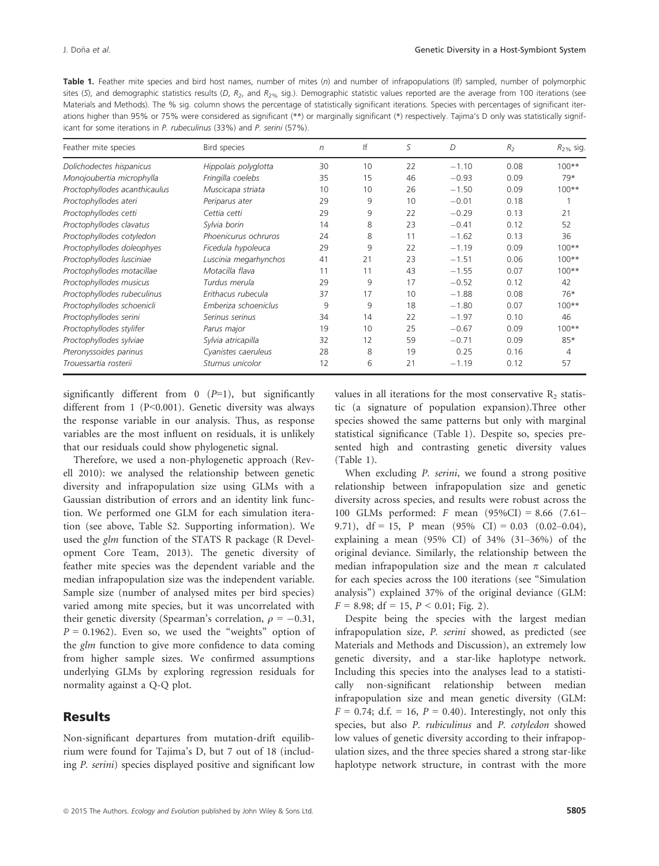Table 1. Feather mite species and bird host names, number of mites (n) and number of infrapopulations (If) sampled, number of polymorphic sites (S), and demographic statistics results (D,  $R_2$ , and  $R_2$ % sig.). Demographic statistic values reported are the average from 100 iterations (see Materials and Methods). The % sig. column shows the percentage of statistically significant iterations. Species with percentages of significant iterations higher than 95% or 75% were considered as significant (\*\*) or marginally significant (\*) respectively. Tajima's D only was statistically significant for some iterations in P. rubeculinus (33%) and P. serini (57%).

| Feather mite species          | Bird species          | $\sqrt{n}$ | lf | S  | D       | R <sub>2</sub> | $R_{2\%}$ sig. |
|-------------------------------|-----------------------|------------|----|----|---------|----------------|----------------|
| Dolichodectes hispanicus      | Hippolais polyglotta  | 30         | 10 | 22 | $-1.10$ | 0.08           | $100**$        |
| Monojoubertia microphylla     | Fringilla coelebs     | 35         | 15 | 46 | $-0.93$ | 0.09           | 79*            |
| Proctophyllodes acanthicaulus | Muscicapa striata     | 10         | 10 | 26 | $-1.50$ | 0.09           | $100**$        |
| Proctophyllodes ateri         | Periparus ater        | 29         | 9  | 10 | $-0.01$ | 0.18           |                |
| Proctophyllodes cetti         | Cettia cetti          | 29         | 9  | 22 | $-0.29$ | 0.13           | 21             |
| Proctophyllodes clavatus      | Sylvia borin          | 14         | 8  | 23 | $-0.41$ | 0.12           | 52             |
| Proctophyllodes cotyledon     | Phoenicurus ochruros  | 24         | 8  | 11 | $-1.62$ | 0.13           | 36             |
| Proctophyllodes doleophyes    | Ficedula hypoleuca    | 29         | 9  | 22 | $-1.19$ | 0.09           | $100**$        |
| Proctophyllodes lusciniae     | Luscinia megarhynchos | 41         | 21 | 23 | $-1.51$ | 0.06           | $100**$        |
| Proctophyllodes motacillae    | Motacilla flava       | 11         | 11 | 43 | $-1.55$ | 0.07           | $100**$        |
| Proctophyllodes musicus       | Turdus merula         | 29         | 9  | 17 | $-0.52$ | 0.12           | 42             |
| Proctophyllodes rubeculinus   | Erithacus rubecula    | 37         | 17 | 10 | $-1.88$ | 0.08           | 76*            |
| Proctophyllodes schoenicli    | Emberiza schoeniclus  | 9          | 9  | 18 | $-1.80$ | 0.07           | $100**$        |
| Proctophyllodes serini        | Serinus serinus       | 34         | 14 | 22 | $-1.97$ | 0.10           | 46             |
| Proctophyllodes stylifer      | Parus major           | 19         | 10 | 25 | $-0.67$ | 0.09           | $100**$        |
| Proctophyllodes sylviae       | Sylvia atricapilla    | 32         | 12 | 59 | $-0.71$ | 0.09           | 85*            |
| Pteronyssoides parinus        | Cyanistes caeruleus   | 28         | 8  | 19 | 0.25    | 0.16           | 4              |
| Trouessartia rosterii         | Sturnus unicolor      | 12         | 6  | 21 | $-1.19$ | 0.12           | 57             |

significantly different from  $0$  ( $P=1$ ), but significantly different from 1 (P<0.001). Genetic diversity was always the response variable in our analysis. Thus, as response variables are the most influent on residuals, it is unlikely that our residuals could show phylogenetic signal.

Therefore, we used a non-phylogenetic approach (Revell 2010): we analysed the relationship between genetic diversity and infrapopulation size using GLMs with a Gaussian distribution of errors and an identity link function. We performed one GLM for each simulation iteration (see above, Table S2. Supporting information). We used the glm function of the STATS R package (R Development Core Team, 2013). The genetic diversity of feather mite species was the dependent variable and the median infrapopulation size was the independent variable. Sample size (number of analysed mites per bird species) varied among mite species, but it was uncorrelated with their genetic diversity (Spearman's correlation,  $\rho = -0.31$ ,  $P = 0.1962$ ). Even so, we used the "weights" option of the *glm* function to give more confidence to data coming from higher sample sizes. We confirmed assumptions underlying GLMs by exploring regression residuals for normality against a Q-Q plot.

# **Results**

Non-significant departures from mutation-drift equilibrium were found for Tajima's D, but 7 out of 18 (including P. serini) species displayed positive and significant low values in all iterations for the most conservative  $R_2$  statistic (a signature of population expansion).Three other species showed the same patterns but only with marginal statistical significance (Table 1). Despite so, species presented high and contrasting genetic diversity values (Table 1).

When excluding P. serini, we found a strong positive relationship between infrapopulation size and genetic diversity across species, and results were robust across the 100 GLMs performed: F mean (95%CI) = 8.66 (7.61– 9.71),  $df = 15$ , P mean  $(95\% \text{ CI}) = 0.03 \ (0.02-0.04)$ , explaining a mean (95% CI) of 34% (31–36%) of the original deviance. Similarly, the relationship between the median infrapopulation size and the mean  $\pi$  calculated for each species across the 100 iterations (see "Simulation analysis") explained 37% of the original deviance (GLM:  $F = 8.98$ ; df = 15,  $P < 0.01$ ; Fig. 2).

Despite being the species with the largest median infrapopulation size, P. serini showed, as predicted (see Materials and Methods and Discussion), an extremely low genetic diversity, and a star-like haplotype network. Including this species into the analyses lead to a statistically non-significant relationship between median infrapopulation size and mean genetic diversity (GLM:  $F = 0.74$ ; d.f. = 16,  $P = 0.40$ ). Interestingly, not only this species, but also P. rubiculinus and P. cotyledon showed low values of genetic diversity according to their infrapopulation sizes, and the three species shared a strong star-like haplotype network structure, in contrast with the more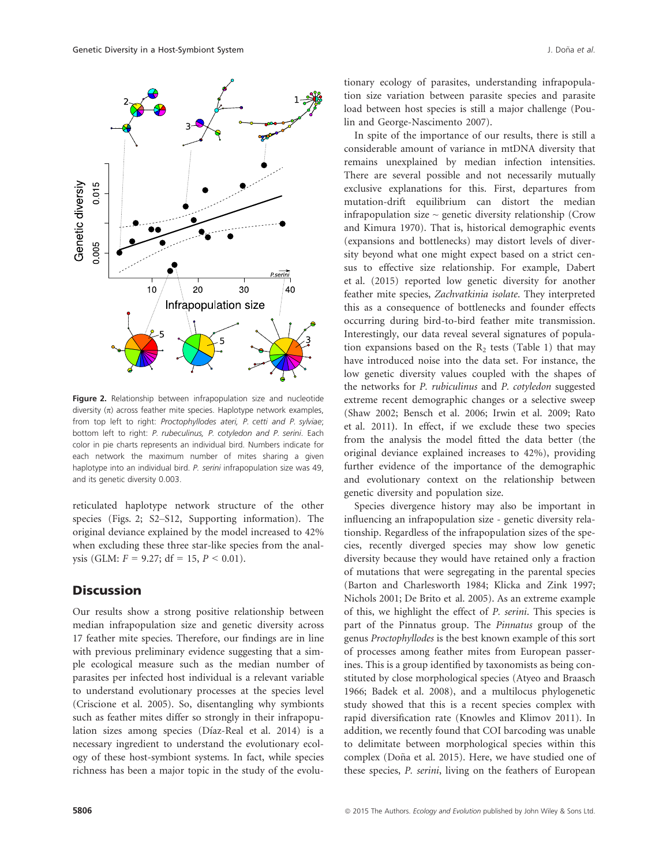

Figure 2. Relationship between infrapopulation size and nucleotide diversity  $(n)$  across feather mite species. Haplotype network examples, from top left to right: Proctophyllodes ateri, P. cetti and P. sylviae; bottom left to right: P. rubeculinus, P. cotyledon and P. serini. Each color in pie charts represents an individual bird. Numbers indicate for each network the maximum number of mites sharing a given haplotype into an individual bird. P. serini infrapopulation size was 49, and its genetic diversity 0.003.

reticulated haplotype network structure of the other species (Figs. 2; S2–S12, Supporting information). The original deviance explained by the model increased to 42% when excluding these three star-like species from the analysis (GLM:  $F = 9.27$ ; df = 15,  $P < 0.01$ ).

## **Discussion**

Our results show a strong positive relationship between median infrapopulation size and genetic diversity across 17 feather mite species. Therefore, our findings are in line with previous preliminary evidence suggesting that a simple ecological measure such as the median number of parasites per infected host individual is a relevant variable to understand evolutionary processes at the species level (Criscione et al. 2005). So, disentangling why symbionts such as feather mites differ so strongly in their infrapopulation sizes among species (Díaz-Real et al. 2014) is a necessary ingredient to understand the evolutionary ecology of these host-symbiont systems. In fact, while species richness has been a major topic in the study of the evolu-

tionary ecology of parasites, understanding infrapopulation size variation between parasite species and parasite load between host species is still a major challenge (Poulin and George-Nascimento 2007).

In spite of the importance of our results, there is still a considerable amount of variance in mtDNA diversity that remains unexplained by median infection intensities. There are several possible and not necessarily mutually exclusive explanations for this. First, departures from mutation-drift equilibrium can distort the median infrapopulation size  $\sim$  genetic diversity relationship (Crow and Kimura 1970). That is, historical demographic events (expansions and bottlenecks) may distort levels of diversity beyond what one might expect based on a strict census to effective size relationship. For example, Dabert et al. (2015) reported low genetic diversity for another feather mite species, Zachvatkinia isolate. They interpreted this as a consequence of bottlenecks and founder effects occurring during bird-to-bird feather mite transmission. Interestingly, our data reveal several signatures of population expansions based on the  $R_2$  tests (Table 1) that may have introduced noise into the data set. For instance, the low genetic diversity values coupled with the shapes of the networks for P. rubiculinus and P. cotyledon suggested extreme recent demographic changes or a selective sweep (Shaw 2002; Bensch et al. 2006; Irwin et al. 2009; Rato et al. 2011). In effect, if we exclude these two species from the analysis the model fitted the data better (the original deviance explained increases to 42%), providing further evidence of the importance of the demographic and evolutionary context on the relationship between genetic diversity and population size.

Species divergence history may also be important in influencing an infrapopulation size - genetic diversity relationship. Regardless of the infrapopulation sizes of the species, recently diverged species may show low genetic diversity because they would have retained only a fraction of mutations that were segregating in the parental species (Barton and Charlesworth 1984; Klicka and Zink 1997; Nichols 2001; De Brito et al. 2005). As an extreme example of this, we highlight the effect of P. serini. This species is part of the Pinnatus group. The Pinnatus group of the genus Proctophyllodes is the best known example of this sort of processes among feather mites from European passerines. This is a group identified by taxonomists as being constituted by close morphological species (Atyeo and Braasch 1966; Badek et al. 2008), and a multilocus phylogenetic study showed that this is a recent species complex with rapid diversification rate (Knowles and Klimov 2011). In addition, we recently found that COI barcoding was unable to delimitate between morphological species within this complex (Doña et al. 2015). Here, we have studied one of these species, P. serini, living on the feathers of European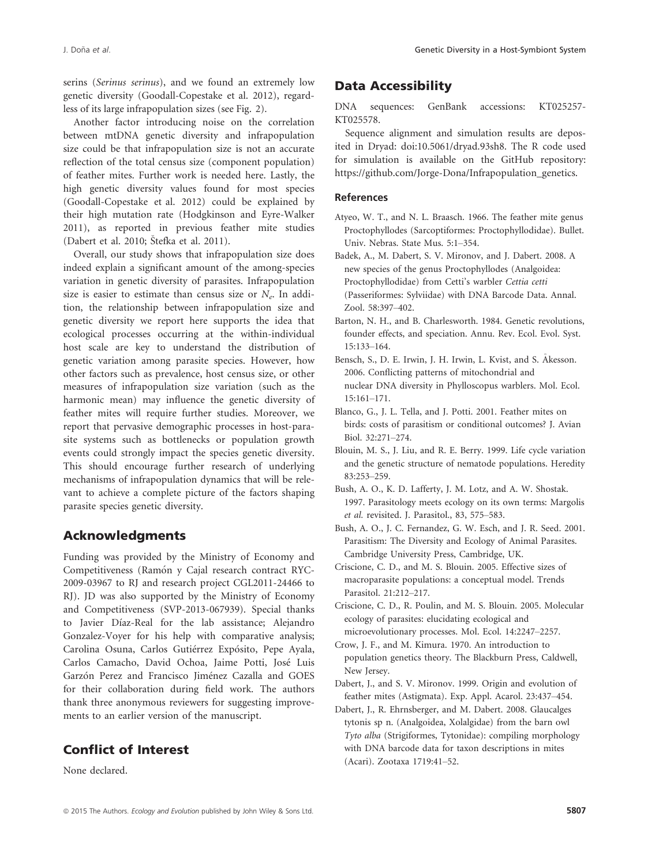serins (Serinus serinus), and we found an extremely low genetic diversity (Goodall-Copestake et al. 2012), regardless of its large infrapopulation sizes (see Fig. 2).

Another factor introducing noise on the correlation between mtDNA genetic diversity and infrapopulation size could be that infrapopulation size is not an accurate reflection of the total census size (component population) of feather mites. Further work is needed here. Lastly, the high genetic diversity values found for most species (Goodall-Copestake et al. 2012) could be explained by their high mutation rate (Hodgkinson and Eyre-Walker 2011), as reported in previous feather mite studies (Dabert et al. 2010; Stefka et al. 2011).

Overall, our study shows that infrapopulation size does indeed explain a significant amount of the among-species variation in genetic diversity of parasites. Infrapopulation size is easier to estimate than census size or  $N_e$ . In addition, the relationship between infrapopulation size and genetic diversity we report here supports the idea that ecological processes occurring at the within-individual host scale are key to understand the distribution of genetic variation among parasite species. However, how other factors such as prevalence, host census size, or other measures of infrapopulation size variation (such as the harmonic mean) may influence the genetic diversity of feather mites will require further studies. Moreover, we report that pervasive demographic processes in host-parasite systems such as bottlenecks or population growth events could strongly impact the species genetic diversity. This should encourage further research of underlying mechanisms of infrapopulation dynamics that will be relevant to achieve a complete picture of the factors shaping parasite species genetic diversity.

# Acknowledgments

Funding was provided by the Ministry of Economy and Competitiveness (Ramón y Cajal research contract RYC-2009-03967 to RJ and research project CGL2011-24466 to RJ). JD was also supported by the Ministry of Economy and Competitiveness (SVP-2013-067939). Special thanks to Javier Díaz-Real for the lab assistance; Alejandro Gonzalez-Voyer for his help with comparative analysis; Carolina Osuna, Carlos Gutiérrez Expósito, Pepe Ayala, Carlos Camacho, David Ochoa, Jaime Potti, José Luis Garzón Perez and Francisco Jiménez Cazalla and GOES for their collaboration during field work. The authors thank three anonymous reviewers for suggesting improvements to an earlier version of the manuscript.

# Conflict of Interest

None declared.

## Data Accessibility

DNA sequences: GenBank accessions: [KT025257](http://www.ncbi.nlm.nih.gov/nuccore/KT025257)- [KT025578.](http://www.ncbi.nlm.nih.gov/nuccore/KT025578)

Sequence alignment and simulation results are deposited in Dryad: doi[:10.5061/dryad.93sh8.](info:doi/10.5061/dryad.93sh8) The R code used for simulation is available on the GitHub repository: [https://github.com/Jorge-Dona/Infrapopulation\\_genetics.](https://github.com/Jorge-Dona/Infrapopulation_genetics)

### References

- Atyeo, W. T., and N. L. Braasch. 1966. The feather mite genus Proctophyllodes (Sarcoptiformes: Proctophyllodidae). Bullet. Univ. Nebras. State Mus. 5:1–354.
- Badek, A., M. Dabert, S. V. Mironov, and J. Dabert. 2008. A new species of the genus Proctophyllodes (Analgoidea: Proctophyllodidae) from Cetti's warbler Cettia cetti (Passeriformes: Sylviidae) with DNA Barcode Data. Annal. Zool. 58:397–402.
- Barton, N. H., and B. Charlesworth. 1984. Genetic revolutions, founder effects, and speciation. Annu. Rev. Ecol. Evol. Syst. 15:133–164.
- Bensch, S., D. E. Irwin, J. H. Irwin, L. Kvist, and S. Akesson. 2006. Conflicting patterns of mitochondrial and nuclear DNA diversity in Phylloscopus warblers. Mol. Ecol. 15:161–171.
- Blanco, G., J. L. Tella, and J. Potti. 2001. Feather mites on birds: costs of parasitism or conditional outcomes? J. Avian Biol. 32:271–274.
- Blouin, M. S., J. Liu, and R. E. Berry. 1999. Life cycle variation and the genetic structure of nematode populations. Heredity 83:253–259.
- Bush, A. O., K. D. Lafferty, J. M. Lotz, and A. W. Shostak. 1997. Parasitology meets ecology on its own terms: Margolis et al. revisited. J. Parasitol., 83, 575–583.
- Bush, A. O., J. C. Fernandez, G. W. Esch, and J. R. Seed. 2001. Parasitism: The Diversity and Ecology of Animal Parasites. Cambridge University Press, Cambridge, UK.
- Criscione, C. D., and M. S. Blouin. 2005. Effective sizes of macroparasite populations: a conceptual model. Trends Parasitol. 21:212–217.
- Criscione, C. D., R. Poulin, and M. S. Blouin. 2005. Molecular ecology of parasites: elucidating ecological and microevolutionary processes. Mol. Ecol. 14:2247–2257.
- Crow, J. F., and M. Kimura. 1970. An introduction to population genetics theory. The Blackburn Press, Caldwell, New Jersey.
- Dabert, J., and S. V. Mironov. 1999. Origin and evolution of feather mites (Astigmata). Exp. Appl. Acarol. 23:437–454.
- Dabert, J., R. Ehrnsberger, and M. Dabert. 2008. Glaucalges tytonis sp n. (Analgoidea, Xolalgidae) from the barn owl Tyto alba (Strigiformes, Tytonidae): compiling morphology with DNA barcode data for taxon descriptions in mites (Acari). Zootaxa 1719:41–52.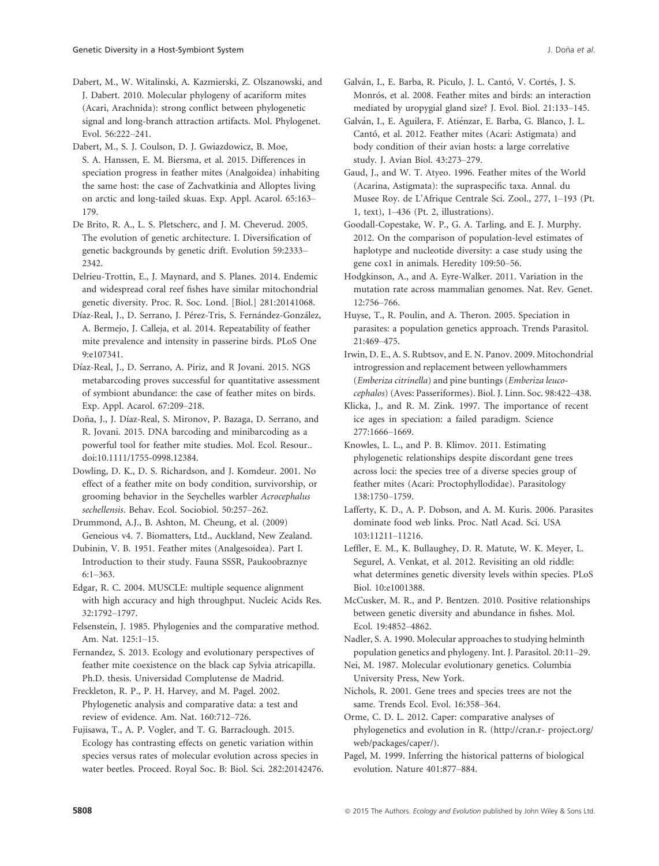Dabert, M., W. Witalinski, A. Kazmierski, Z. Olszanowski, and J. Dabert. 2010. Molecular phylogeny of acariform mites (Acari, Arachnida): strong conflict between phylogenetic signal and long-branch attraction artifacts. Mol. Phylogenet. Evol. 56:222–241.

Dabert, M., S. J. Coulson, D. J. Gwiazdowicz, B. Moe, S. A. Hanssen, E. M. Biersma, et al. 2015. Differences in speciation progress in feather mites (Analgoidea) inhabiting the same host: the case of Zachvatkinia and Alloptes living on arctic and long-tailed skuas. Exp. Appl. Acarol. 65:163– 179.

De Brito, R. A., L. S. Pletscherc, and J. M. Cheverud. 2005. The evolution of genetic architecture. I. Diversification of genetic backgrounds by genetic drift. Evolution 59:2333– 2342.

Delrieu-Trottin, E., J. Maynard, and S. Planes. 2014. Endemic and widespread coral reef fishes have similar mitochondrial genetic diversity. Proc. R. Soc. Lond. [Biol.] 281:20141068.

Díaz-Real, J., D. Serrano, J. Pérez-Tris, S. Fernández-González, A. Bermejo, J. Calleja, et al. 2014. Repeatability of feather mite prevalence and intensity in passerine birds. PLoS One 9:e107341.

Díaz-Real, J., D. Serrano, A. Piriz, and R Jovani. 2015. NGS metabarcoding proves successful for quantitative assessment of symbiont abundance: the case of feather mites on birds. Exp. Appl. Acarol. 67:209–218.

Doña, J., J. Díaz-Real, S. Mironov, P. Bazaga, D. Serrano, and R. Jovani. 2015. DNA barcoding and minibarcoding as a powerful tool for feather mite studies. Mol. Ecol. Resour.. doi:[10.1111/1755-0998.12384](info:doi/10.1111/1755-0998.12384).

Dowling, D. K., D. S. Richardson, and J. Komdeur. 2001. No effect of a feather mite on body condition, survivorship, or grooming behavior in the Seychelles warbler Acrocephalus sechellensis. Behav. Ecol. Sociobiol. 50:257–262.

Drummond, A.J., B. Ashton, M. Cheung, et al. (2009) Geneious v4. 7. Biomatters, Ltd., Auckland, New Zealand.

Dubinin, V. B. 1951. Feather mites (Analgesoidea). Part I. Introduction to their study. Fauna SSSR, Paukoobraznye 6:1–363.

Edgar, R. C. 2004. MUSCLE: multiple sequence alignment with high accuracy and high throughput. Nucleic Acids Res. 32:1792–1797.

Felsenstein, J. 1985. Phylogenies and the comparative method. Am. Nat. 125:1–15.

Fernandez, S. 2013. Ecology and evolutionary perspectives of feather mite coexistence on the black cap Sylvia atricapilla. Ph.D. thesis. Universidad Complutense de Madrid.

Freckleton, R. P., P. H. Harvey, and M. Pagel. 2002. Phylogenetic analysis and comparative data: a test and review of evidence. Am. Nat. 160:712–726.

Fujisawa, T., A. P. Vogler, and T. G. Barraclough. 2015. Ecology has contrasting effects on genetic variation within species versus rates of molecular evolution across species in water beetles. Proceed. Royal Soc. B: Biol. Sci. 282:20142476. Galván, I., E. Barba, R. Piculo, J. L. Cantó, V. Cortés, J. S. Monrós, et al. 2008. Feather mites and birds: an interaction mediated by uropygial gland size? J. Evol. Biol. 21:133–145.

Galván, I., E. Aguilera, F. Atiénzar, E. Barba, G. Blanco, J. L. Cantó, et al. 2012. Feather mites (Acari: Astigmata) and body condition of their avian hosts: a large correlative study. J. Avian Biol. 43:273–279.

Gaud, J., and W. T. Atyeo. 1996. Feather mites of the World (Acarina, Astigmata): the supraspecific taxa. Annal. du Musee Roy. de L'Afrique Centrale Sci. Zool., 277, 1–193 (Pt. 1, text), 1–436 (Pt. 2, illustrations).

Goodall-Copestake, W. P., G. A. Tarling, and E. J. Murphy. 2012. On the comparison of population-level estimates of haplotype and nucleotide diversity: a case study using the gene cox1 in animals. Heredity 109:50–56.

Hodgkinson, A., and A. Eyre-Walker. 2011. Variation in the mutation rate across mammalian genomes. Nat. Rev. Genet. 12:756–766.

Huyse, T., R. Poulin, and A. Theron. 2005. Speciation in parasites: a population genetics approach. Trends Parasitol. 21:469–475.

Irwin, D. E., A. S. Rubtsov, and E. N. Panov. 2009. Mitochondrial introgression and replacement between yellowhammers (Emberiza citrinella) and pine buntings (Emberiza leucocephalos) (Aves: Passeriformes). Biol. J. Linn. Soc. 98:422–438.

Klicka, J., and R. M. Zink. 1997. The importance of recent ice ages in speciation: a failed paradigm. Science 277:1666–1669.

Knowles, L. L., and P. B. Klimov. 2011. Estimating phylogenetic relationships despite discordant gene trees across loci: the species tree of a diverse species group of feather mites (Acari: Proctophyllodidae). Parasitology 138:1750–1759.

Lafferty, K. D., A. P. Dobson, and A. M. Kuris. 2006. Parasites dominate food web links. Proc. Natl Acad. Sci. USA 103:11211–11216.

Leffler, E. M., K. Bullaughey, D. R. Matute, W. K. Meyer, L. Segurel, A. Venkat, et al. 2012. Revisiting an old riddle: what determines genetic diversity levels within species. PLoS Biol. 10:e1001388.

McCusker, M. R., and P. Bentzen. 2010. Positive relationships between genetic diversity and abundance in fishes. Mol. Ecol. 19:4852–4862.

Nadler, S. A. 1990. Molecular approaches to studying helminth population genetics and phylogeny. Int. J. Parasitol. 20:11–29.

Nei, M. 1987. Molecular evolutionary genetics. Columbia University Press, New York.

Nichols, R. 2001. Gene trees and species trees are not the same. Trends Ecol. Evol. 16:358–364.

Orme, C. D. L. 2012. Caper: comparative analyses of phylogenetics and evolution in R. [\(http://cran.r](http://cran.r)- project.org/ web/packages/caper/).

Pagel, M. 1999. Inferring the historical patterns of biological evolution. Nature 401:877–884.